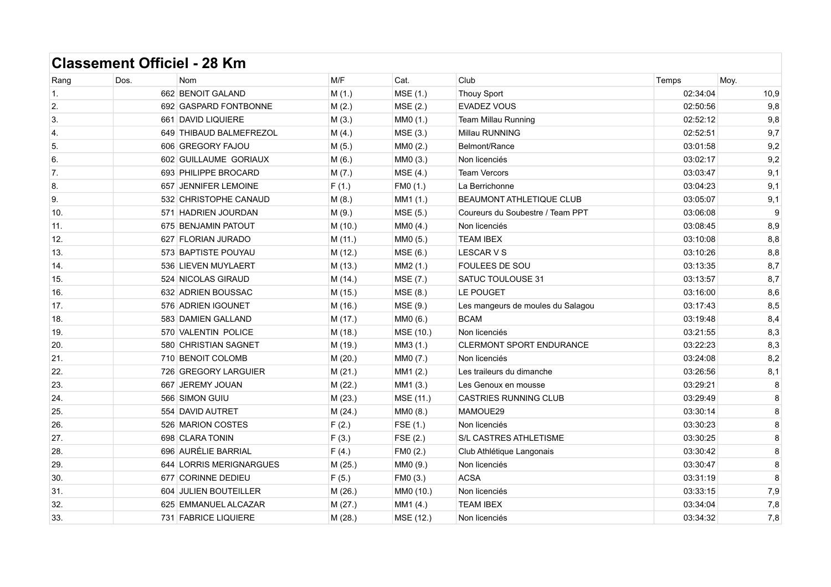| Rang           | Dos. | <b>Nom</b>              | M/F     | Cat.      | Club                              | Temps    | Moy.    |
|----------------|------|-------------------------|---------|-----------|-----------------------------------|----------|---------|
| 1.             |      | 662 BENOIT GALAND       | M(1.)   | MSE (1.)  | <b>Thouy Sport</b>                | 02:34:04 | 10,9    |
| 2.             |      | 692 GASPARD FONTBONNE   | M(2.)   | MSE (2.)  | EVADEZ VOUS                       | 02:50:56 | 9,8     |
| 3.             |      | 661 DAVID LIQUIERE      | M(3.)   | MM0 (1.)  | Team Millau Running               | 02:52:12 | 9,8     |
| $\overline{4}$ |      | 649 THIBAUD BALMEFREZOL | M(4.)   | MSE (3.)  | Millau RUNNING                    | 02:52:51 | 9,7     |
| 5.             |      | 606 GREGORY FAJOU       | M(5.)   | MM0 (2.)  | Belmont/Rance                     | 03:01:58 | 9,2     |
| 6.             |      | 602 GUILLAUME GORIAUX   | M(6.)   | MM0 (3.)  | Non licenciés                     | 03:02:17 | 9,2     |
| 7.             |      | 693 PHILIPPE BROCARD    | M(7.)   | MSE (4.)  | <b>Team Vercors</b>               | 03:03:47 | 9,1     |
| 8.             |      | 657 JENNIFER LEMOINE    | F(1.)   | FM0 (1.)  | La Berrichonne                    | 03:04:23 | 9,1     |
| 9.             |      | 532 CHRISTOPHE CANAUD   | M(8.)   | MM1 (1.)  | BEAUMONT ATHLETIQUE CLUB          | 03:05:07 | 9,1     |
| 10.            |      | 571 HADRIEN JOURDAN     | M(9.)   | MSE (5.)  | Coureurs du Soubestre / Team PPT  | 03:06:08 | 9       |
| 11.            |      | 675 BENJAMIN PATOUT     | M (10.) | MM0 (4.)  | Non licenciés                     | 03:08:45 | 8,9     |
| 12.            |      | 627 FLORIAN JURADO      | M (11.) | MM0 (5.)  | <b>TEAM IBEX</b>                  | 03:10:08 | 8,8     |
| 13.            |      | 573 BAPTISTE POUYAU     | M (12.) | MSE (6.)  | <b>LESCAR V S</b>                 | 03:10:26 | 8,8     |
| 14.            |      | 536 LIEVEN MUYLAERT     | M(13.)  | MM2 (1.)  | FOULEES DE SOU                    | 03:13:35 | 8,7     |
| 15.            |      | 524 NICOLAS GIRAUD      | M (14.) | MSE (7.)  | SATUC TOULOUSE 31                 | 03:13:57 | 8,7     |
| 16.            |      | 632 ADRIEN BOUSSAC      | M (15.) | MSE (8.)  | LE POUGET                         | 03:16:00 | 8,6     |
| 17.            |      | 576 ADRIEN IGOUNET      | M (16.) | MSE (9.)  | Les mangeurs de moules du Salagou | 03:17:43 | 8,5     |
| 18.            |      | 583 DAMIEN GALLAND      | M (17.) | MM0 (6.)  | <b>BCAM</b>                       | 03:19:48 | 8,4     |
| 19.            |      | 570 VALENTIN POLICE     | M (18.) | MSE (10.) | Non licenciés                     | 03:21:55 | 8,3     |
| 20.            |      | 580 CHRISTIAN SAGNET    | M (19.) | MM3 (1.)  | <b>CLERMONT SPORT ENDURANCE</b>   | 03:22:23 | 8,3     |
| 21.            |      | 710 BENOIT COLOMB       | M (20.) | MM0 (7.)  | Non licenciés                     | 03:24:08 | 8,2     |
| 22.            |      | 726 GREGORY LARGUIER    | M(21.)  | MM1 (2.)  | Les traileurs du dimanche         | 03:26:56 | 8,1     |
| 23.            |      | 667 JEREMY JOUAN        | M (22.) | MM1 (3.)  | Les Genoux en mousse              | 03:29:21 | 8       |
| 24.            |      | 566 SIMON GUIU          | M (23.) | MSE (11.) | <b>CASTRIES RUNNING CLUB</b>      | 03:29:49 | 8       |
| 25.            |      | 554 DAVID AUTRET        | M(24.)  | MM0 (8.)  | MAMOUE29                          | 03:30:14 | $\bf 8$ |
| 26.            |      | 526 MARION COSTES       | F(2.)   | FSE (1.)  | Non licenciés                     | 03:30:23 | 8       |
| 27.            |      | 698 CLARA TONIN         | F(3.)   | FSE(2.)   | S/L CASTRES ATHLETISME            | 03:30:25 | 8       |
| 28.            |      | 696 AURÉLIE BARRIAL     | F(4.)   | FM0 (2.)  | Club Athlétique Langonais         | 03:30:42 | 8       |
| 29.            |      | 644 LORRIS MERIGNARGUES | M (25.) | MM0 (9.)  | Non licenciés                     | 03:30:47 | 8       |
| 30.            |      | 677 CORINNE DEDIEU      | F(5.)   | FM0 (3.)  | <b>ACSA</b>                       | 03:31:19 | 8       |
| 31.            |      | 604 JULIEN BOUTEILLER   | M (26.) | MM0 (10.) | Non licenciés                     | 03:33:15 | 7,9     |
| 32.            |      | 625 EMMANUEL ALCAZAR    | M(27.)  | MM1 (4.)  | <b>TEAM IBEX</b>                  | 03:34:04 | 7,8     |
| 33.            |      | 731 FABRICE LIQUIERE    | M(28.)  | MSE (12.) | Non licenciés                     | 03:34:32 | 7,8     |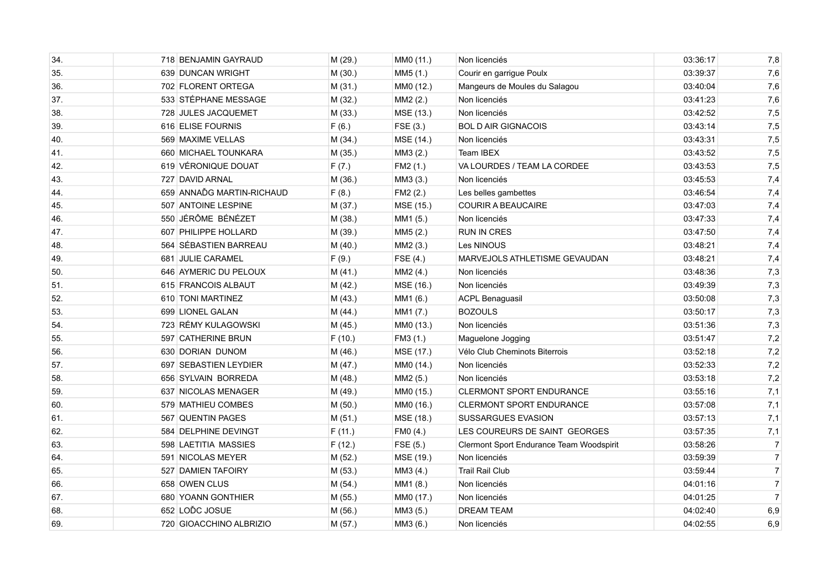| 34. | 718 BENJAMIN GAYRAUD      | M (29.) | MM0 (11.) | Non licenciés                            | 03:36:17 | 7,8              |
|-----|---------------------------|---------|-----------|------------------------------------------|----------|------------------|
| 35. | 639 DUNCAN WRIGHT         | M (30.) | MM5 (1.)  | Courir en garrigue Poulx                 | 03:39:37 | 7,6              |
| 36. | 702 FLORENT ORTEGA        | M(31.)  | MM0 (12.) | Mangeurs de Moules du Salagou            | 03:40:04 | 7,6              |
| 37. | 533 STÉPHANE MESSAGE      | M (32.) | MM2 (2.)  | Non licenciés                            | 03:41:23 | 7,6              |
| 38. | 728 JULES JACQUEMET       | M (33.) | MSE (13.) | Non licenciés                            | 03:42:52 | 7,5              |
| 39. | 616 ELISE FOURNIS         | F(6.)   | FSE(3.)   | <b>BOL D AIR GIGNACOIS</b>               | 03:43:14 | 7,5              |
| 40. | 569 MAXIME VELLAS         | M(34.)  | MSE (14.) | Non licenciés                            | 03:43:31 | 7,5              |
| 41. | 660 MICHAEL TOUNKARA      | M (35.) | MM3 (2.)  | Team IBEX                                | 03:43:52 | 7,5              |
| 42. | 619 VÉRONIQUE DOUAT       | F(7.)   | FM2 (1.)  | VA LOURDES / TEAM LA CORDEE              | 03:43:53 | 7,5              |
| 43. | 727 DAVID ARNAL           | M (36.) | MM3 (3.)  | Non licenciés                            | 03:45:53 | 7,4              |
| 44. | 659 ANNAĎG MARTIN-RICHAUD | F(8.)   | FM2(2.)   | Les belles gambettes                     | 03:46:54 | 7,4              |
| 45. | 507 ANTOINE LESPINE       | M (37.) | MSE (15.) | <b>COURIR A BEAUCAIRE</b>                | 03:47:03 | 7,4              |
| 46. | 550 JÉRÔME BÉNÉZET        | M (38.) | MM1 (5.)  | Non licenciés                            | 03:47:33 | 7,4              |
| 47. | 607 PHILIPPE HOLLARD      | M (39.) | MM5 (2.)  | <b>RUN IN CRES</b>                       | 03:47:50 | 7,4              |
| 48. | 564 SÉBASTIEN BARREAU     | M(40.)  | MM2 (3.)  | Les NINOUS                               | 03:48:21 | 7,4              |
| 49. | 681 JULIE CARAMEL         | F(9.)   | FSE (4.)  | MARVEJOLS ATHLETISME GEVAUDAN            | 03:48:21 | 7,4              |
| 50. | 646 AYMERIC DU PELOUX     | M(41.)  | MM2 (4.)  | Non licenciés                            | 03:48:36 | 7,3              |
| 51. | 615 FRANCOIS ALBAUT       | M (42.) | MSE (16.) | Non licenciés                            | 03:49:39 | 7,3              |
| 52. | 610 TONI MARTINEZ         | M (43.) | MM1 (6.)  | <b>ACPL Benaguasil</b>                   | 03:50:08 | 7,3              |
| 53. | 699 LIONEL GALAN          | M(44.)  | MM1 (7.)  | <b>BOZOULS</b>                           | 03:50:17 | 7,3              |
| 54. | 723 RÉMY KULAGOWSKI       | M (45.) | MM0 (13.) | Non licenciés                            | 03:51:36 | 7,3              |
| 55. | 597 CATHERINE BRUN        | F(10.)  | FM3 (1.)  | Maguelone Jogging                        | 03:51:47 | 7,2              |
| 56. | 630 DORIAN DUNOM          | M(46.)  | MSE (17.) | Vélo Club Cheminots Biterrois            | 03:52:18 | 7,2              |
| 57. | 697 SEBASTIEN LEYDIER     | M (47.) | MM0 (14.) | Non licenciés                            | 03:52:33 | 7,2              |
| 58. | 656 SYLVAIN BORREDA       | M (48.) | MM2 (5.)  | Non licenciés                            | 03:53:18 | 7,2              |
| 59. | 637 NICOLAS MENAGER       | M (49.) | MM0 (15.) | <b>CLERMONT SPORT ENDURANCE</b>          | 03:55:16 | 7,1              |
| 60. | 579 MATHIEU COMBES        | M (50.) | MM0 (16.) | <b>CLERMONT SPORT ENDURANCE</b>          | 03:57:08 | 7,1              |
| 61. | 567 QUENTIN PAGES         | M (51.) | MSE (18.) | SUSSARGUES EVASION                       | 03:57:13 | 7,1              |
| 62. | 584 DELPHINE DEVINGT      | F(11.)  | FM0 (4.)  | LES COUREURS DE SAINT GEORGES            | 03:57:35 | 7,1              |
| 63. | 598 LAETITIA MASSIES      | F(12.)  | FSE (5.)  | Clermont Sport Endurance Team Woodspirit | 03:58:26 | $\overline{7}$   |
| 64. | 591 NICOLAS MEYER         | M (52.) | MSE (19.) | Non licenciés                            | 03:59:39 | $\boldsymbol{7}$ |
| 65. | 527 DAMIEN TAFOIRY        | M (53.) | MM3 (4.)  | <b>Trail Rail Club</b>                   | 03:59:44 | $\overline{7}$   |
| 66. | 658 OWEN CLUS             | M(54.)  | MM1 (8.)  | Non licenciés                            | 04:01:16 | $\boldsymbol{7}$ |
| 67. | 680 YOANN GONTHIER        | M (55.) | MM0 (17.) | Non licenciés                            | 04:01:25 | $\overline{7}$   |
| 68. | 652 LOĎC JOSUE            | M(56.)  | MM3 (5.)  | <b>DREAM TEAM</b>                        | 04:02:40 | 6,9              |
| 69. | 720 GIOACCHINO ALBRIZIO   | M(57.)  | MM3 (6.)  | Non licenciés                            | 04:02:55 | 6,9              |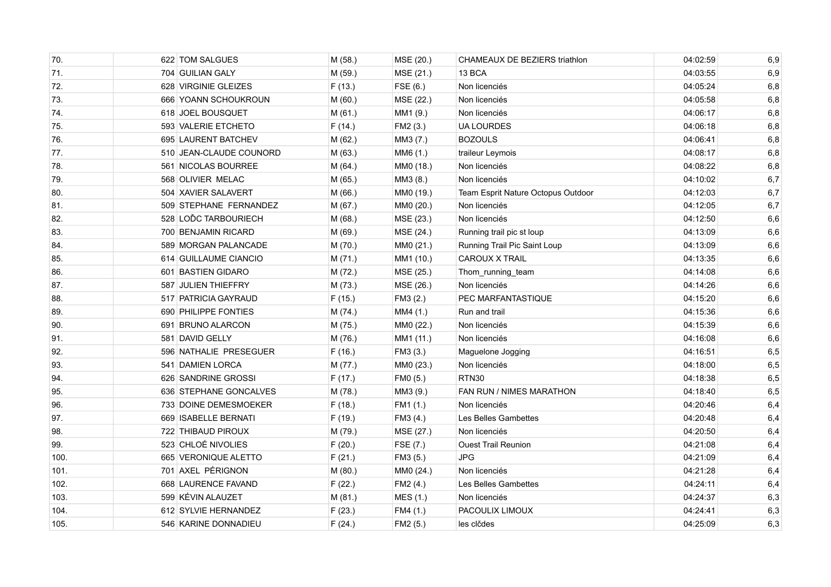| 70.  | 622 TOM SALGUES         | M (58.) | MSE (20.) | CHAMEAUX DE BEZIERS triathlon      | 04:02:59 | 6,9   |
|------|-------------------------|---------|-----------|------------------------------------|----------|-------|
| 71.  | 704 GUILIAN GALY        | M (59.) | MSE (21.) | 13 BCA                             | 04:03:55 | 6,9   |
| 72.  | 628 VIRGINIE GLEIZES    | F(13.)  | FSE(6.)   | Non licenciés                      | 04:05:24 | 6,8   |
| 73.  | 666 YOANN SCHOUKROUN    | M (60.) | MSE (22.) | Non licenciés                      | 04:05:58 | 6,8   |
| 74.  | 618 JOEL BOUSQUET       | M(61.)  | MM1 (9.)  | Non licenciés                      | 04:06:17 | 6,8   |
| 75.  | 593 VALERIE ETCHETO     | F(14.)  | FM2 (3.)  | <b>UA LOURDES</b>                  | 04:06:18 | 6,8   |
| 76.  | 695 LAURENT BATCHEV     | M (62.) | MM3 (7.)  | <b>BOZOULS</b>                     | 04:06:41 | 6,8   |
| 77.  | 510 JEAN-CLAUDE COUNORD | M (63.) | MM6 (1.)  | traileur Leymois                   | 04:08:17 | 6,8   |
| 78.  | 561 NICOLAS BOURREE     | M(64.)  | MM0 (18.) | Non licenciés                      | 04:08:22 | 6,8   |
| 79.  | 568 OLIVIER MELAC       | M (65.) | MM3 (8.)  | Non licenciés                      | 04:10:02 | 6,7   |
| 80.  | 504 XAVIER SALAVERT     | M (66.) | MM0 (19.) | Team Esprit Nature Octopus Outdoor | 04:12:03 | $6,7$ |
| 81.  | 509 STEPHANE FERNANDEZ  | M (67.) | MM0 (20.) | Non licenciés                      | 04:12:05 | 6,7   |
| 82.  | 528 LODC TARBOURIECH    | M (68.) | MSE (23.) | Non licenciés                      | 04:12:50 | 6,6   |
| 83.  | 700 BENJAMIN RICARD     | M (69.) | MSE (24.) | Running trail pic st loup          | 04:13:09 | 6,6   |
| 84.  | 589 MORGAN PALANCADE    | M (70.) | MM0 (21.) | Running Trail Pic Saint Loup       | 04:13:09 | 6,6   |
| 85.  | 614 GUILLAUME CIANCIO   | M (71.) | MM1 (10.) | <b>CAROUX X TRAIL</b>              | 04:13:35 | 6,6   |
| 86.  | 601 BASTIEN GIDARO      | M (72.) | MSE (25.) | Thom_running_team                  | 04:14:08 | 6,6   |
| 87.  | 587 JULIEN THIEFFRY     | M (73.) | MSE (26.) | Non licenciés                      | 04:14:26 | 6,6   |
| 88.  | 517 PATRICIA GAYRAUD    | F(15.)  | FM3 (2.)  | PEC MARFANTASTIQUE                 | 04:15:20 | 6,6   |
| 89.  | 690 PHILIPPE FONTIES    | M (74.) | MM4 (1.)  | Run and trail                      | 04:15:36 | 6,6   |
| 90.  | 691 BRUNO ALARCON       | M (75.) | MM0 (22.) | Non licenciés                      | 04:15:39 | 6,6   |
| 91.  | 581 DAVID GELLY         | M (76.) | MM1 (11.) | Non licenciés                      | 04:16:08 | 6,6   |
| 92.  | 596 NATHALIE PRESEGUER  | F(16.)  | FM3 (3.)  | Maguelone Jogging                  | 04:16:51 | 6,5   |
| 93.  | 541 DAMIEN LORCA        | M (77.) | MM0 (23.) | Non licenciés                      | 04:18:00 | 6,5   |
| 94.  | 626 SANDRINE GROSSI     | F(17.)  | FM0 (5.)  | RTN30                              | 04:18:38 | 6,5   |
| 95.  | 636 STEPHANE GONCALVES  | M (78.) | MM3 (9.)  | FAN RUN / NIMES MARATHON           | 04:18:40 | 6,5   |
| 96.  | 733 DOINE DEMESMOEKER   | F(18.)  | FM1 (1.)  | Non licenciés                      | 04:20:46 | 6,4   |
| 97.  | 669 ISABELLE BERNATI    | F(19.)  | FM3 (4.)  | Les Belles Gambettes               | 04:20:48 | 6,4   |
| 98.  | 722 THIBAUD PIROUX      | M (79.) | MSE (27.) | Non licenciés                      | 04:20:50 | 6,4   |
| 99.  | 523 CHLOÉ NIVOLIES      | F(20.)  | FSE (7.)  | <b>Ouest Trail Reunion</b>         | 04:21:08 | 6,4   |
| 100. | 665 VERONIQUE ALETTO    | F(21.)  | FM3 (5.)  | <b>JPG</b>                         | 04:21:09 | 6,4   |
| 101. | 701 AXEL PÉRIGNON       | M (80.) | MM0 (24.) | Non licenciés                      | 04:21:28 | 6,4   |
| 102. | 668 LAURENCE FAVAND     | F(22.)  | FM2 (4.)  | Les Belles Gambettes               | 04:24:11 | 6,4   |
| 103. | 599 KÉVIN ALAUZET       | M (81.) | MES (1.)  | Non licenciés                      | 04:24:37 | 6,3   |
| 104. | 612 SYLVIE HERNANDEZ    | F(23.)  | FM4 (1.)  | PACOULIX LIMOUX                    | 04:24:41 | 6,3   |
| 105. | 546 KARINE DONNADIEU    | F(24.)  | FM2 (5.)  | les clčdes                         | 04:25:09 | 6,3   |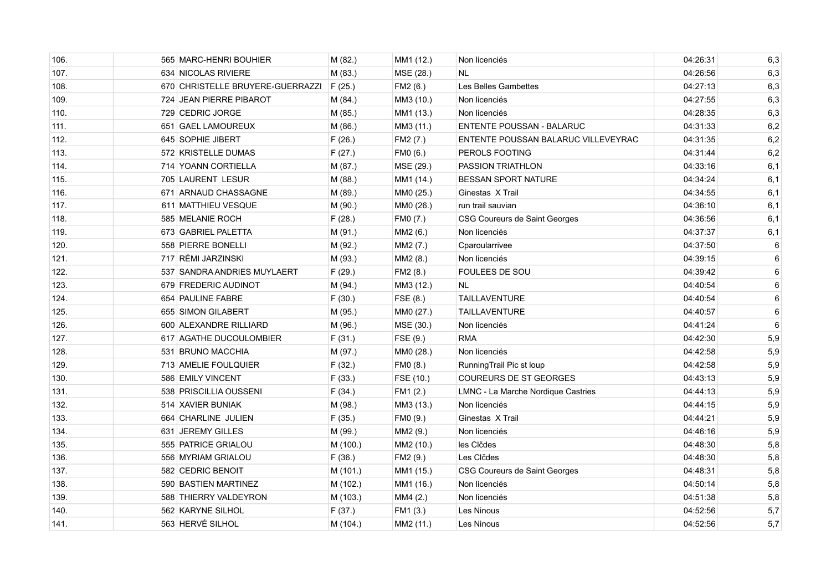| 106. | 565 MARC-HENRI BOUHIER           | M (82.)  | MM1 (12.) | Non licenciés                       | 04:26:31 | 6,3 |
|------|----------------------------------|----------|-----------|-------------------------------------|----------|-----|
| 107. | 634 NICOLAS RIVIERE              | M(83.)   | MSE (28.) | <b>NL</b>                           | 04:26:56 | 6,3 |
| 108. | 670 CHRISTELLE BRUYERE-GUERRAZZI | F(25.)   | FM2 (6.)  | Les Belles Gambettes                | 04:27:13 | 6,3 |
| 109. | 724 JEAN PIERRE PIBAROT          | M(84.)   | MM3 (10.) | Non licenciés                       | 04:27:55 | 6,3 |
| 110. | 729 CEDRIC JORGE                 | M (85.)  | MM1 (13.) | Non licenciés                       | 04:28:35 | 6,3 |
| 111. | 651 GAEL LAMOUREUX               | M (86.)  | MM3 (11.) | ENTENTE POUSSAN - BALARUC           | 04:31:33 | 6,2 |
| 112. | 645 SOPHIE JIBERT                | F(26.)   | FM2 (7.)  | ENTENTE POUSSAN BALARUC VILLEVEYRAC | 04:31:35 | 6,2 |
| 113. | 572 KRISTELLE DUMAS              | F(27.)   | FM0 (6.)  | PEROLS FOOTING                      | 04:31:44 | 6,2 |
| 114. | 714 YOANN CORTIELLA              | M (87.)  | MSE (29.) | PASSION TRIATHLON                   | 04:33:16 | 6,1 |
| 115. | 705 LAURENT LESUR                | M(88.)   | MM1 (14.) | <b>BESSAN SPORT NATURE</b>          | 04:34:24 | 6,1 |
| 116. | 671 ARNAUD CHASSAGNE             | M (89.)  | MM0 (25.) | Ginestas X Trail                    | 04:34:55 | 6,1 |
| 117. | 611 MATTHIEU VESQUE              | M (90.)  | MM0 (26.) | run trail sauvian                   | 04:36:10 | 6,1 |
| 118. | 585 MELANIE ROCH                 | F(28.)   | FM0 (7.)  | CSG Coureurs de Saint Georges       | 04:36:56 | 6,1 |
| 119. | 673 GABRIEL PALETTA              | M (91.)  | MM2 (6.)  | Non licenciés                       | 04:37:37 | 6,1 |
| 120. | 558 PIERRE BONELLI               | M (92.)  | MM2 (7.)  | Cparoularrivee                      | 04:37:50 | 6   |
| 121. | 717 RÉMI JARZINSKI               | M (93.)  | MM2 (8.)  | Non licenciés                       | 04:39:15 | 6   |
| 122. | 537 SANDRA ANDRIES MUYLAERT      | F(29.)   | FM2 (8.)  | <b>FOULEES DE SOU</b>               | 04:39:42 | 6   |
| 123. | 679 FREDERIC AUDINOT             | M (94.)  | MM3 (12.) | NL.                                 | 04:40:54 | 6   |
| 124. | 654 PAULINE FABRE                | F(30.)   | FSE (8.)  | <b>TAILLAVENTURE</b>                | 04:40:54 | 6   |
| 125. | 655 SIMON GILABERT               | M (95.)  | MM0 (27.) | <b>TAILLAVENTURE</b>                | 04:40:57 | 6   |
| 126. | 600 ALEXANDRE RILLIARD           | M (96.)  | MSE (30.) | Non licenciés                       | 04:41:24 | 6   |
| 127. | 617 AGATHE DUCOULOMBIER          | F(31.)   | FSE (9.)  | <b>RMA</b>                          | 04:42:30 | 5,9 |
| 128. | 531 BRUNO MACCHIA                | M (97.)  | MM0 (28.) | Non licenciés                       | 04:42:58 | 5,9 |
| 129. | 713 AMELIE FOULQUIER             | F(32.)   | FM0 (8.)  | RunningTrail Pic st loup            | 04:42:58 | 5,9 |
| 130. | 586 EMILY VINCENT                | F(33.)   | FSE (10.) | <b>COUREURS DE ST GEORGES</b>       | 04:43:13 | 5,9 |
| 131. | 538 PRISCILLIA OUSSENI           | F(34.)   | FM1 (2.)  | LMNC - La Marche Nordique Castries  | 04:44:13 | 5,9 |
| 132. | 514 XAVIER BUNIAK                | M (98.)  | MM3 (13.) | Non licenciés                       | 04:44:15 | 5,9 |
| 133. | 664 CHARLINE JULIEN              | F(35.)   | FM0 (9.)  | Ginestas X Trail                    | 04:44:21 | 5,9 |
| 134. | 631 JEREMY GILLES                | M (99.)  | MM2 (9.)  | Non licenciés                       | 04:46:16 | 5,9 |
| 135. | 555 PATRICE GRIALOU              | M (100.) | MM2 (10.) | les Clčdes                          | 04:48:30 | 5,8 |
| 136. | 556 MYRIAM GRIALOU               | F(36.)   | FM2 (9.)  | Les Clčdes                          | 04:48:30 | 5,8 |
| 137. | 582 CEDRIC BENOIT                | M (101.) | MM1 (15.) | CSG Coureurs de Saint Georges       | 04:48:31 | 5,8 |
| 138. | 590 BASTIEN MARTINEZ             | M (102.) | MM1 (16.) | Non licenciés                       | 04:50:14 | 5,8 |
| 139. | 588 THIERRY VALDEYRON            | M (103.) | MM4 (2.)  | Non licenciés                       | 04:51:38 | 5,8 |
| 140. | 562 KARYNE SILHOL                | F(37.)   | FM1 (3.)  | Les Ninous                          | 04:52:56 | 5,7 |
| 141. | 563 HERVÉ SILHOL                 | M (104.) | MM2 (11.) | Les Ninous                          | 04:52:56 | 5,7 |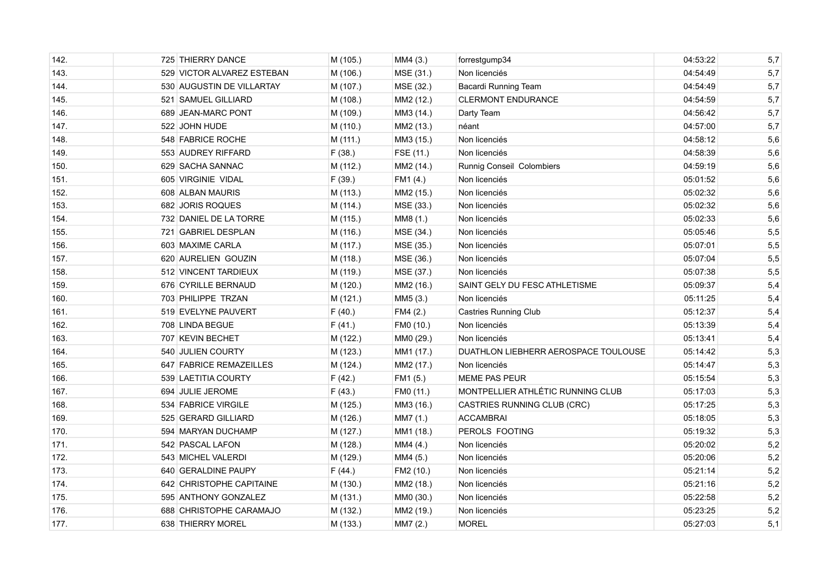| 142. | 725 THIERRY DANCE          | M (105.) | MM4 (3.)  | forrestgump34                        | 04:53:22 | 5,7 |
|------|----------------------------|----------|-----------|--------------------------------------|----------|-----|
| 143. | 529 VICTOR ALVAREZ ESTEBAN | M (106.) | MSE (31.) | Non licenciés                        | 04:54:49 | 5,7 |
| 144. | 530 AUGUSTIN DE VILLARTAY  | M (107.) | MSE (32.) | <b>Bacardi Running Team</b>          | 04:54:49 | 5,7 |
| 145. | 521 SAMUEL GILLIARD        | M (108.) | MM2 (12.) | <b>CLERMONT ENDURANCE</b>            | 04:54:59 | 5,7 |
| 146. | 689 JEAN-MARC PONT         | M (109.) | MM3 (14.) | Darty Team                           | 04:56:42 | 5,7 |
| 147. | 522 JOHN HUDE              | M (110.) | MM2 (13.) | néant                                | 04:57:00 | 5,7 |
| 148. | 548 FABRICE ROCHE          | M (111.) | MM3 (15.) | Non licenciés                        | 04:58:12 | 5,6 |
| 149. | 553 AUDREY RIFFARD         | F(38.)   | FSE (11.) | Non licenciés                        | 04:58:39 | 5,6 |
| 150. | 629   SACHA SANNAC         | M (112.) | MM2 (14.) | Runnig Conseil Colombiers            | 04:59:19 | 5,6 |
| 151. | 605 VIRGINIE VIDAL         | F(39.)   | FM1 (4.)  | Non licenciés                        | 05:01:52 | 5,6 |
| 152. | 608 ALBAN MAURIS           | M (113.) | MM2 (15.) | Non licenciés                        | 05:02:32 | 5,6 |
| 153. | 682 JORIS ROQUES           | M (114.) | MSE (33.) | Non licenciés                        | 05:02:32 | 5,6 |
| 154. | 732 DANIEL DE LA TORRE     | M (115.) | MM8 (1.)  | Non licenciés                        | 05:02:33 | 5,6 |
| 155. | 721 GABRIEL DESPLAN        | M (116.) | MSE (34.) | Non licenciés                        | 05:05:46 | 5,5 |
| 156. | 603 MAXIME CARLA           | M (117.) | MSE (35.) | Non licenciés                        | 05:07:01 | 5,5 |
| 157. | 620 AURELIEN GOUZIN        | M (118.) | MSE (36.) | Non licenciés                        | 05:07:04 | 5,5 |
| 158. | 512 VINCENT TARDIEUX       | M (119.) | MSE (37.) | Non licenciés                        | 05:07:38 | 5,5 |
| 159. | 676 CYRILLE BERNAUD        | M (120.) | MM2 (16.) | SAINT GELY DU FESC ATHLETISME        | 05:09:37 | 5,4 |
| 160. | 703 PHILIPPE TRZAN         | M (121.) | MM5 (3.)  | Non licenciés                        | 05:11:25 | 5,4 |
| 161. | 519 EVELYNE PAUVERT        | F(40.)   | FM4 (2.)  | <b>Castries Running Club</b>         | 05:12:37 | 5,4 |
| 162. | 708 LINDA BEGUE            | F(41.)   | FM0 (10.) | Non licenciés                        | 05:13:39 | 5,4 |
| 163. | 707 KEVIN BECHET           | M (122.) | MM0 (29.) | Non licenciés                        | 05:13:41 | 5,4 |
| 164. | 540 JULIEN COURTY          | M (123.) | MM1 (17.) | DUATHLON LIEBHERR AEROSPACE TOULOUSE | 05:14:42 | 5,3 |
| 165. | 647 FABRICE REMAZEILLES    | M (124.) | MM2 (17.) | Non licenciés                        | 05:14:47 | 5,3 |
| 166. | 539 LAETITIA COURTY        | F(42.)   | FM1 (5.)  | <b>MEME PAS PEUR</b>                 | 05:15:54 | 5,3 |
| 167. | 694 JULIE JEROME           | F(43.)   | FM0 (11.) | MONTPELLIER ATHLÉTIC RUNNING CLUB    | 05:17:03 | 5,3 |
| 168. | 534 FABRICE VIRGILE        | M (125.) | MM3 (16.) | CASTRIES RUNNING CLUB (CRC)          | 05:17:25 | 5,3 |
| 169. | 525 GERARD GILLIARD        | M (126.) | MM7 (1.)  | <b>ACCAMBRAI</b>                     | 05:18:05 | 5,3 |
| 170. | 594 MARYAN DUCHAMP         | M (127.) | MM1 (18.) | PEROLS FOOTING                       | 05:19:32 | 5,3 |
| 171. | 542 PASCAL LAFON           | M (128.) | MM4 (4.)  | Non licenciés                        | 05:20:02 | 5,2 |
| 172. | 543 MICHEL VALERDI         | M (129.) | MM4 (5.)  | Non licenciés                        | 05:20:06 | 5,2 |
| 173. | 640 GERALDINE PAUPY        | F(44.)   | FM2 (10.) | Non licenciés                        | 05:21:14 | 5,2 |
| 174. | 642 CHRISTOPHE CAPITAINE   | M (130.) | MM2 (18.) | Non licenciés                        | 05:21:16 | 5,2 |
| 175. | 595 ANTHONY GONZALEZ       | M (131.) | MM0 (30.) | Non licenciés                        | 05:22:58 | 5,2 |
| 176. | 688 CHRISTOPHE CARAMAJO    | M (132.) | MM2 (19.) | Non licenciés                        | 05:23:25 | 5,2 |
| 177. | 638 THIERRY MOREL          | M (133.) | MM7 (2.)  | <b>MOREL</b>                         | 05:27:03 | 5,1 |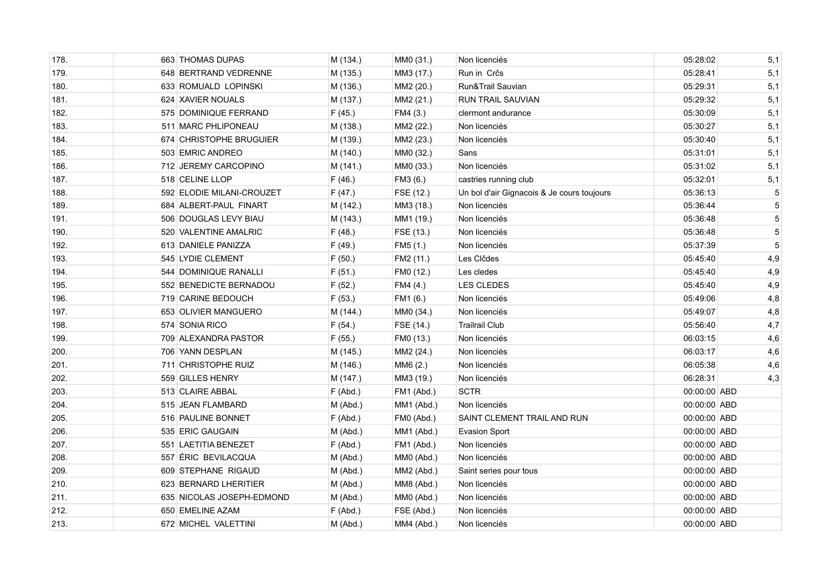| 178. | 663 THOMAS DUPAS          | M (134.)   | MM0 (31.)  | Non licenciés                              | 05:28:02     | 5,1 |
|------|---------------------------|------------|------------|--------------------------------------------|--------------|-----|
| 179. | 648 BERTRAND VEDRENNE     | M (135.)   | MM3 (17.)  | Run in Crčs                                | 05:28:41     | 5,1 |
| 180. | 633 ROMUALD LOPINSKI      | M (136.)   | MM2 (20.)  | Run&Trail Sauvian                          | 05:29:31     | 5,1 |
| 181. | 624 XAVIER NOUALS         | M (137.)   | MM2 (21.)  | RUN TRAIL SAUVIAN                          | 05:29:32     | 5,1 |
| 182. | 575 DOMINIQUE FERRAND     | F(45.)     | FM4 (3.)   | clermont andurance                         | 05:30:09     | 5,1 |
| 183. | 511 MARC PHLIPONEAU       | M (138.)   | MM2 (22.)  | Non licenciés                              | 05:30:27     | 5,1 |
| 184. | 674 CHRISTOPHE BRUGUIER   | M (139.)   | MM2 (23.)  | Non licenciés                              | 05:30:40     | 5,1 |
| 185. | 503 EMRIC ANDREO          | M (140.)   | MM0 (32.)  | Sans                                       | 05:31:01     | 5,1 |
| 186. | 712 JEREMY CARCOPINO      | M (141.)   | MM0 (33.)  | Non licenciés                              | 05:31:02     | 5,1 |
| 187. | 518 CELINE LLOP           | F(46.)     | FM3 (6.)   | castries running club                      | 05:32:01     | 5,1 |
| 188. | 592 ELODIE MILANI-CROUZET | F(47.)     | FSE (12.)  | Un bol d'air Gignacois & Je cours toujours | 05:36:13     | 5   |
| 189. | 684 ALBERT-PAUL FINART    | M (142.)   | MM3 (18.)  | Non licenciés                              | 05:36:44     | 5   |
| 191. | 506 DOUGLAS LEVY BIAU     | M (143.)   | MM1 (19.)  | Non licenciés                              | 05:36:48     | 5   |
| 190. | 520 VALENTINE AMALRIC     | F(48.)     | FSE (13.)  | Non licenciés                              | 05:36:48     | 5   |
| 192. | 613 DANIELE PANIZZA       | F(49.)     | FM5 (1.)   | Non licenciés                              | 05:37:39     | 5   |
| 193. | 545 LYDIE CLEMENT         | F(50.)     | FM2 (11.)  | Les Clčdes                                 | 05:45:40     | 4,9 |
| 194. | 544 DOMINIQUE RANALLI     | F(51.)     | FM0 (12.)  | Les cledes                                 | 05:45:40     | 4,9 |
| 195. | 552 BENEDICTE BERNADOU    | F(52.)     | FM4 (4.)   | <b>LES CLEDES</b>                          | 05:45:40     | 4,9 |
| 196. | 719 CARINE BEDOUCH        | F(53.)     | FM1 (6.)   | Non licenciés                              | 05:49:06     | 4,8 |
| 197. | 653 OLIVIER MANGUERO      | M (144.)   | MM0 (34.)  | Non licenciés                              | 05:49:07     | 4,8 |
| 198. | 574 SONIA RICO            | F(54.)     | FSE (14.)  | <b>Trailrail Club</b>                      | 05:56:40     | 4,7 |
| 199. | 709 ALEXANDRA PASTOR      | F(55.)     | FM0 (13.)  | Non licenciés                              | 06:03:15     | 4,6 |
| 200. | 706 YANN DESPLAN          | M (145.)   | MM2 (24.)  | Non licenciés                              | 06:03:17     | 4,6 |
| 201. | 711 CHRISTOPHE RUIZ       | M (146.)   | MM6 (2.)   | Non licenciés                              | 06:05:38     | 4,6 |
| 202. | 559 GILLES HENRY          | M (147.)   | MM3 (19.)  | Non licenciés                              | 06:28:31     | 4,3 |
| 203. | 513 CLAIRE ABBAL          | F(Abd.)    | FM1 (Abd.) | <b>SCTR</b>                                | 00:00:00 ABD |     |
| 204. | 515 JEAN FLAMBARD         | M (Abd.)   | MM1 (Abd.) | Non licenciés                              | 00:00:00 ABD |     |
| 205. | 516 PAULINE BONNET        | F(Abd.)    | FM0 (Abd.) | SAINT CLEMENT TRAIL AND RUN                | 00:00:00 ABD |     |
| 206. | 535 ERIC GAUGAIN          | M (Abd.)   | MM1 (Abd.) | <b>Evasion Sport</b>                       | 00:00:00 ABD |     |
| 207. | 551 LAETITIA BENEZET      | F(Abd.)    | FM1 (Abd.) | Non licenciés                              | 00:00:00 ABD |     |
| 208. | 557 ÉRIC BEVILACQUA       | M (Abd.)   | MM0 (Abd.) | Non licenciés                              | 00:00:00 ABD |     |
| 209. | 609 STEPHANE RIGAUD       | M (Abd.)   | MM2 (Abd.) | Saint series pour tous                     | 00:00:00 ABD |     |
| 210. | 623 BERNARD LHERITIER     | M (Abd.)   | MM8 (Abd.) | Non licenciés                              | 00:00:00 ABD |     |
| 211. | 635 NICOLAS JOSEPH-EDMOND | M (Abd.)   | MM0 (Abd.) | Non licenciés                              | 00:00:00 ABD |     |
| 212. | 650 EMELINE AZAM          | $F$ (Abd.) | FSE (Abd.) | Non licenciés                              | 00:00:00 ABD |     |
| 213. | 672 MICHEL VALETTINI      | $M$ (Abd.) | MM4 (Abd.) | Non licenciés                              | 00:00:00 ABD |     |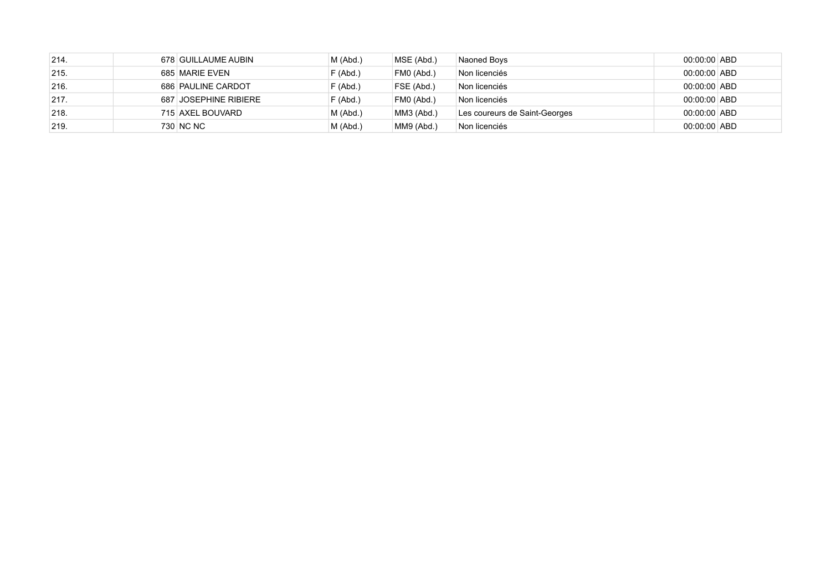| 214. | 678 GUILLAUME AUBIN   | $M$ (Abd.) | MSE (Abd.) | Naoned Boys                   | 00:00:00 ABD |  |
|------|-----------------------|------------|------------|-------------------------------|--------------|--|
| 215. | 685 MARIE EVEN        | F(Abd.)    | FM0 (Abd.) | Non licenciés                 | 00:00:00 ABD |  |
| 216. | 686 PAULINE CARDOT    | F(Abd.)    | FSE (Abd.) | Non licenciés                 | 00:00:00 ABD |  |
| 217. | 687 JOSEPHINE RIBIERE | $F$ (Abd.) | FM0 (Abd.) | Non licenciés                 | 00:00:00 ABD |  |
| 218. | 715 AXEL BOUVARD      | $M$ (Abd.) | MM3 (Abd.) | Les coureurs de Saint-Georges | 00:00:00 ABD |  |
| 219. | 730 NC NC             | $M$ (Abd.) | MM9 (Abd.) | Non licenciés                 | 00:00:00 ABD |  |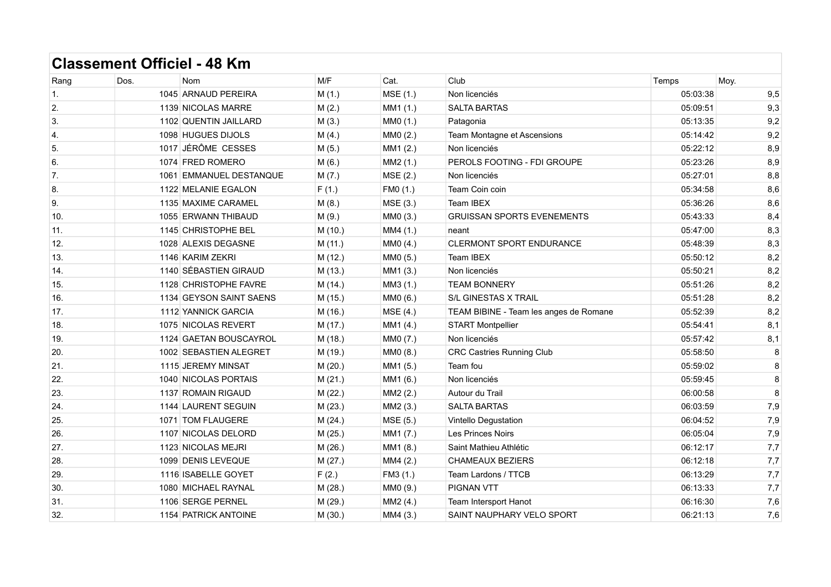|      | UUVIIIVIIL<br><b>VIIIVIV</b> |                         |         |          |                                        |          |      |
|------|------------------------------|-------------------------|---------|----------|----------------------------------------|----------|------|
| Rang | Dos.                         | <b>Nom</b>              | M/F     | Cat.     | Club                                   | Temps    | Moy. |
| 1.   |                              | 1045 ARNAUD PEREIRA     | M(1.)   | MSE (1.) | Non licenciés                          | 05:03:38 | 9,5  |
| 2.   |                              | 1139 NICOLAS MARRE      | M(2.)   | MM1 (1.) | <b>SALTA BARTAS</b>                    | 05:09:51 | 9,3  |
| 3.   |                              | 1102 QUENTIN JAILLARD   | M(3.)   | MM0 (1.) | Patagonia                              | 05:13:35 | 9,2  |
| 4.   |                              | 1098 HUGUES DIJOLS      | M(4.)   | MM0 (2.) | Team Montagne et Ascensions            | 05:14:42 | 9,2  |
| 5.   |                              | 1017 JÉRÔME CESSES      | M(5.)   | MM1 (2.) | Non licenciés                          | 05:22:12 | 8,9  |
| 6.   |                              | 1074 FRED ROMERO        | M(6.)   | MM2 (1.) | PEROLS FOOTING - FDI GROUPE            | 05:23:26 | 8,9  |
| 7.   |                              | 1061 EMMANUEL DESTANQUE | M(7.)   | MSE (2.) | Non licenciés                          | 05:27:01 | 8,8  |
| 8.   |                              | 1122 MELANIE EGALON     | F(1.)   | FM0 (1.) | Team Coin coin                         | 05:34:58 | 8,6  |
| 9.   |                              | 1135 MAXIME CARAMEL     | M(8.)   | MSE (3.) | Team IBEX                              | 05:36:26 | 8,6  |
| 10.  |                              | 1055 ERWANN THIBAUD     | M(9.)   | MM0 (3.) | <b>GRUISSAN SPORTS EVENEMENTS</b>      | 05:43:33 | 8,4  |
| 11.  |                              | 1145 CHRISTOPHE BEL     | M (10.) | MM4 (1.) | neant                                  | 05:47:00 | 8,3  |
| 12.  |                              | 1028 ALEXIS DEGASNE     | M (11.) | MM0 (4.) | CLERMONT SPORT ENDURANCE               | 05:48:39 | 8,3  |
| 13.  |                              | 1146 KARIM ZEKRI        | M (12.) | MM0 (5.) | Team IBEX                              | 05:50:12 | 8,2  |
| 14.  |                              | 1140 SÉBASTIEN GIRAUD   | M (13.) | MM1 (3.) | Non licenciés                          | 05:50:21 | 8,2  |
| 15.  |                              | 1128 CHRISTOPHE FAVRE   | M (14.) | MM3 (1.) | <b>TEAM BONNERY</b>                    | 05:51:26 | 8,2  |
| 16.  |                              | 1134 GEYSON SAINT SAENS | M (15.) | MM0 (6.) | <b>S/L GINESTAS X TRAIL</b>            | 05:51:28 | 8,2  |
| 17.  |                              | 1112 YANNICK GARCIA     | M (16.) | MSE (4.) | TEAM BIBINE - Team les anges de Romane | 05:52:39 | 8,2  |
| 18.  |                              | 1075 NICOLAS REVERT     | M (17.) | MM1 (4.) | <b>START Montpellier</b>               | 05:54:41 | 8,1  |
| 19.  |                              | 1124 GAETAN BOUSCAYROL  | M (18.) | MM0 (7.) | Non licenciés                          | 05:57:42 | 8,1  |
| 20.  |                              | 1002 SEBASTIEN ALEGRET  | M (19.) | MM0 (8.) | <b>CRC Castries Running Club</b>       | 05:58:50 | 8    |
| 21.  |                              | 1115 JEREMY MINSAT      | M(20.)  | MM1 (5.) | Team fou                               | 05:59:02 | 8    |
| 22.  |                              | 1040 NICOLAS PORTAIS    | M(21.)  | MM1 (6.) | Non licenciés                          | 05:59:45 | 8    |
| 23.  |                              | 1137 ROMAIN RIGAUD      | M(22.)  | MM2 (2.) | Autour du Trail                        | 06:00:58 | 8    |
| 24.  |                              | 1144 LAURENT SEGUIN     | M(23.)  | MM2 (3.) | <b>SALTA BARTAS</b>                    | 06:03:59 | 7,9  |
| 25.  |                              | 1071 TOM FLAUGERE       | M(24.)  | MSE (5.) | Vintello Degustation                   | 06:04:52 | 7,9  |
| 26.  |                              | 1107 NICOLAS DELORD     | M(25.)  | MM1 (7.) | Les Princes Noirs                      | 06:05:04 | 7,9  |
| 27.  |                              | 1123 NICOLAS MEJRI      | M(26.)  | MM1 (8.) | Saint Mathieu Athlétic                 | 06:12:17 | 7,7  |
| 28.  |                              | 1099 DENIS LEVEQUE      | M(27.)  | MM4 (2.) | <b>CHAMEAUX BEZIERS</b>                | 06:12:18 | 7,7  |
| 29.  |                              | 1116 ISABELLE GOYET     | F(2.)   | FM3 (1.) | Team Lardons / TTCB                    | 06:13:29 | 7,7  |
| 30.  |                              | 1080 MICHAEL RAYNAL     | M(28.)  | MM0 (9.) | <b>PIGNAN VTT</b>                      | 06:13:33 | 7,7  |
| 31.  |                              | 1106 SERGE PERNEL       | M (29.) | MM2 (4.) | Team Intersport Hanot                  | 06:16:30 | 7,6  |
| 32.  |                              | 1154 PATRICK ANTOINE    | M (30.) | MM4 (3.) | SAINT NAUPHARY VELO SPORT              | 06:21:13 | 7,6  |
|      |                              |                         |         |          |                                        |          |      |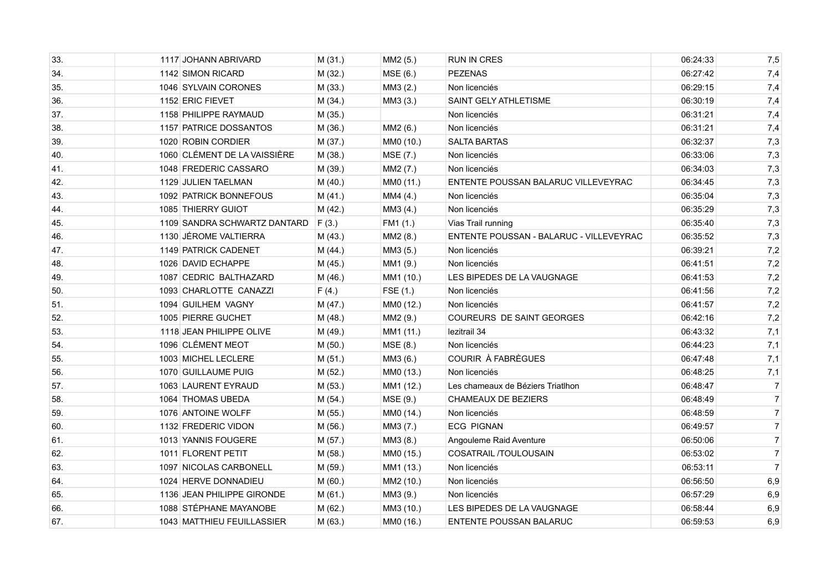| 33. | 1117 JOHANN ABRIVARD         | M (31.) | MM2 (5.)  | <b>RUN IN CRES</b>                      | 06:24:33 | 7,5            |
|-----|------------------------------|---------|-----------|-----------------------------------------|----------|----------------|
| 34. | 1142 SIMON RICARD            | M (32.) | MSE(6.)   | <b>PEZENAS</b>                          | 06:27:42 | 7,4            |
| 35. | 1046 SYLVAIN CORONES         | M (33.) | MM3 (2.)  | Non licenciés                           | 06:29:15 | 7,4            |
| 36. | 1152 ERIC FIEVET             | M(34.)  | MM3 (3.)  | <b>SAINT GELY ATHLETISME</b>            | 06:30:19 | 7,4            |
| 37. | 1158 PHILIPPE RAYMAUD        | M (35.) |           | Non licenciés                           | 06:31:21 | 7,4            |
| 38. | 1157 PATRICE DOSSANTOS       | M (36.) | MM2 (6.)  | Non licenciés                           | 06:31:21 | 7,4            |
| 39. | 1020 ROBIN CORDIER           | M(37.)  | MM0 (10.) | <b>SALTA BARTAS</b>                     | 06:32:37 | 7,3            |
| 40. | 1060 CLÉMENT DE LA VAISSIÈRE | M (38.) | MSE (7.)  | Non licenciés                           | 06:33:06 | 7,3            |
| 41. | 1048 FREDERIC CASSARO        | M (39.) | MM2 (7.)  | Non licenciés                           | 06:34:03 | 7,3            |
| 42. | 1129 JULIEN TAELMAN          | M (40.) | MM0 (11.) | ENTENTE POUSSAN BALARUC VILLEVEYRAC     | 06:34:45 | 7,3            |
| 43. | 1092 PATRICK BONNEFOUS       | M(41.)  | MM4 (4.)  | Non licenciés                           | 06:35:04 | 7,3            |
| 44. | 1085 THIERRY GUIOT           | M (42.) | MM3 (4.)  | Non licenciés                           | 06:35:29 | 7,3            |
| 45. | 1109 SANDRA SCHWARTZ DANTARD | F(3.)   | FM1 (1.)  | Vias Trail running                      | 06:35:40 | 7,3            |
| 46. | 1130 JÉROME VALTIERRA        | M(43.)  | MM2 (8.)  | ENTENTE POUSSAN - BALARUC - VILLEVEYRAC | 06:35:52 | 7,3            |
| 47. | 1149 PATRICK CADENET         | M (44.) | MM3 (5.)  | Non licenciés                           | 06:39:21 | 7,2            |
| 48. | 1026 DAVID ECHAPPE           | M (45.) | MM1 (9.)  | Non licenciés                           | 06:41:51 | 7,2            |
| 49. | 1087 CEDRIC BALTHAZARD       | M (46.) | MM1 (10.) | LES BIPEDES DE LA VAUGNAGE              | 06:41:53 | 7,2            |
| 50. | 1093 CHARLOTTE CANAZZI       | F(4.)   | FSE (1.)  | Non licenciés                           | 06:41:56 | 7,2            |
| 51. | 1094 GUILHEM VAGNY           | M (47.) | MM0 (12.) | Non licenciés                           | 06:41:57 | 7,2            |
| 52. | 1005 PIERRE GUCHET           | M (48.) | MM2 (9.)  | <b>COUREURS DE SAINT GEORGES</b>        | 06:42:16 | 7,2            |
| 53. | 1118 JEAN PHILIPPE OLIVE     | M (49.) | MM1 (11.) | lezitrail 34                            | 06:43:32 | 7,1            |
| 54. | 1096 CLÉMENT MEOT            | M(50.)  | MSE (8.)  | Non licenciés                           | 06:44:23 | 7,1            |
| 55. | 1003 MICHEL LECLERE          | M (51.) | MM3 (6.)  | COURIR À FABRÈGUES                      | 06:47:48 | 7,1            |
| 56. | 1070 GUILLAUME PUIG          | M (52.) | MM0 (13.) | Non licenciés                           | 06:48:25 | 7,1            |
| 57. | 1063 LAURENT EYRAUD          | M (53.) | MM1 (12.) | Les chameaux de Béziers Triatlhon       | 06:48:47 | $\overline{7}$ |
| 58. | 1064 THOMAS UBEDA            | M (54.) | MSE (9.)  | CHAMEAUX DE BEZIERS                     | 06:48:49 | $\overline{7}$ |
| 59. | 1076 ANTOINE WOLFF           | M (55.) | MM0 (14.) | Non licenciés                           | 06:48:59 | $\overline{7}$ |
| 60. | 1132 FREDERIC VIDON          | M (56.) | MM3 (7.)  | <b>ECG PIGNAN</b>                       | 06:49:57 | $\overline{7}$ |
| 61. | 1013 YANNIS FOUGERE          | M (57.) | MM3 (8.)  | Angouleme Raid Aventure                 | 06:50:06 | $\overline{7}$ |
| 62. | 1011 FLORENT PETIT           | M (58.) | MM0 (15.) | COSATRAIL /TOULOUSAIN                   | 06:53:02 | 7 <sup>1</sup> |
| 63. | 1097 NICOLAS CARBONELL       | M (59.) | MM1 (13.) | Non licenciés                           | 06:53:11 | $\overline{7}$ |
| 64. | 1024 HERVE DONNADIEU         | M(60.)  | MM2 (10.) | Non licenciés                           | 06:56:50 | 6,9            |
| 65. | 1136 JEAN PHILIPPE GIRONDE   | M (61.) | MM3 (9.)  | Non licenciés                           | 06:57:29 | 6,9            |
| 66. | 1088 STÉPHANE MAYANOBE       | M(62.)  | MM3 (10.) | LES BIPEDES DE LA VAUGNAGE              | 06:58:44 | 6,9            |
| 67. | 1043 MATTHIEU FEUILLASSIER   | M (63.) | MM0 (16.) | <b>ENTENTE POUSSAN BALARUC</b>          | 06:59:53 | 6,9            |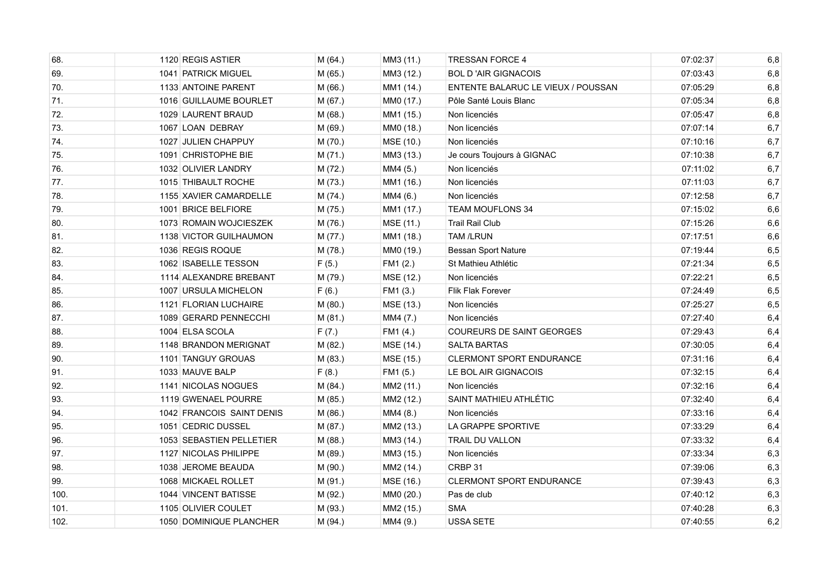| 68.  | 1120 REGIS ASTIER         | M (64.) | MM3 (11.) | <b>TRESSAN FORCE 4</b>             | 07:02:37 | 6,8   |
|------|---------------------------|---------|-----------|------------------------------------|----------|-------|
| 69.  | 1041 PATRICK MIGUEL       | M (65.) | MM3 (12.) | <b>BOL D'AIR GIGNACOIS</b>         | 07:03:43 | 6,8   |
| 70.  | 1133 ANTOINE PARENT       | M (66.) | MM1 (14.) | ENTENTE BALARUC LE VIEUX / POUSSAN | 07:05:29 | 6,8   |
| 71.  | 1016 GUILLAUME BOURLET    | M (67.) | MM0 (17.) | Pôle Santé Louis Blanc             | 07:05:34 | $6,8$ |
| 72.  | 1029 LAURENT BRAUD        | M (68.) | MM1 (15.) | Non licenciés                      | 07.05.47 | 6,8   |
| 73.  | 1067 LOAN DEBRAY          | M (69.) | MM0 (18.) | Non licenciés                      | 07:07:14 | 6,7   |
| 74.  | 1027 JULIEN CHAPPUY       | M (70.) | MSE (10.) | Non licenciés                      | 07:10:16 | 6,7   |
| 75.  | 1091 CHRISTOPHE BIE       | M (71.) | MM3 (13.) | Je cours Toujours à GIGNAC         | 07:10:38 | 6,7   |
| 76.  | 1032 OLIVIER LANDRY       | M (72.) | MM4 (5.)  | Non licenciés                      | 07:11:02 | 6,7   |
| 77.  | 1015 THIBAULT ROCHE       | M (73.) | MM1 (16.) | Non licenciés                      | 07:11:03 | 6,7   |
| 78.  | 1155 XAVIER CAMARDELLE    | M (74.) | MM4 (6.)  | Non licenciés                      | 07:12:58 | 6,7   |
| 79.  | 1001 BRICE BELFIORE       | M (75.) | MM1 (17.) | <b>TEAM MOUFLONS 34</b>            | 07:15:02 | 6,6   |
| 80.  | 1073 ROMAIN WOJCIESZEK    | M (76.) | MSE (11.) | <b>Trail Rail Club</b>             | 07:15:26 | $6,6$ |
| 81.  | 1138 VICTOR GUILHAUMON    | M (77.) | MM1 (18.) | <b>TAM /LRUN</b>                   | 07:17:51 | 6,6   |
| 82.  | 1036 REGIS ROQUE          | M (78.) | MM0 (19.) | <b>Bessan Sport Nature</b>         | 07:19:44 | 6,5   |
| 83.  | 1062 ISABELLE TESSON      | F(5.)   | FM1 (2.)  | St Mathieu Athlétic                | 07:21:34 | 6,5   |
| 84.  | 1114 ALEXANDRE BREBANT    | M (79.) | MSE (12.) | Non licenciés                      | 07:22:21 | 6,5   |
| 85.  | 1007 URSULA MICHELON      | F(6.)   | FM1 (3.)  | <b>Flik Flak Forever</b>           | 07:24:49 | 6,5   |
| 86.  | 1121 FLORIAN LUCHAIRE     | M (80.) | MSE (13.) | Non licenciés                      | 07:25:27 | 6,5   |
| 87.  | 1089 GERARD PENNECCHI     | M(81.)  | MM4 (7.)  | Non licenciés                      | 07:27:40 | 6,4   |
| 88.  | 1004 ELSA SCOLA           | F(7.)   | FM1 (4.)  | COUREURS DE SAINT GEORGES          | 07:29:43 | 6,4   |
| 89.  | 1148 BRANDON MERIGNAT     | M (82.) | MSE (14.) | <b>SALTA BARTAS</b>                | 07:30:05 | 6,4   |
| 90.  | 1101 TANGUY GROUAS        | M (83.) | MSE (15.) | <b>CLERMONT SPORT ENDURANCE</b>    | 07:31:16 | 6,4   |
| 91.  | 1033 MAUVE BALP           | F(8.)   | FM1 (5.)  | LE BOL AIR GIGNACOIS               | 07:32:15 | 6,4   |
| 92.  | 1141 NICOLAS NOGUES       | M(84.)  | MM2 (11.) | Non licenciés                      | 07:32:16 | 6,4   |
| 93.  | 1119 GWENAEL POURRE       | M (85.) | MM2 (12.) | SAINT MATHIEU ATHLÉTIC             | 07:32:40 | 6,4   |
| 94.  | 1042 FRANCOIS SAINT DENIS | M (86.) | MM4 (8.)  | Non licenciés                      | 07:33:16 | 6,4   |
| 95.  | 1051 CEDRIC DUSSEL        | M (87.) | MM2 (13.) | LA GRAPPE SPORTIVE                 | 07:33:29 | 6,4   |
| 96.  | 1053 SEBASTIEN PELLETIER  | M (88.) | MM3 (14.) | <b>TRAIL DU VALLON</b>             | 07:33:32 | 6,4   |
| 97.  | 1127 NICOLAS PHILIPPE     | M (89.) | MM3 (15.) | Non licenciés                      | 07:33:34 | 6,3   |
| 98.  | 1038 JEROME BEAUDA        | M (90.) | MM2 (14.) | CRBP 31                            | 07:39:06 | 6,3   |
| 99.  | 1068 MICKAEL ROLLET       | M (91.) | MSE (16.) | <b>CLERMONT SPORT ENDURANCE</b>    | 07 39 43 | 6,3   |
| 100. | 1044 VINCENT BATISSE      | M (92.) | MM0 (20.) | Pas de club                        | 07:40:12 | 6,3   |
| 101. | 1105 OLIVIER COULET       | M (93.) | MM2 (15.) | <b>SMA</b>                         | 07:40:28 | 6,3   |
| 102. | 1050 DOMINIQUE PLANCHER   | M (94.) | MM4 (9.)  | USSA SETE                          | 07:40:55 | 6,2   |
|      |                           |         |           |                                    |          |       |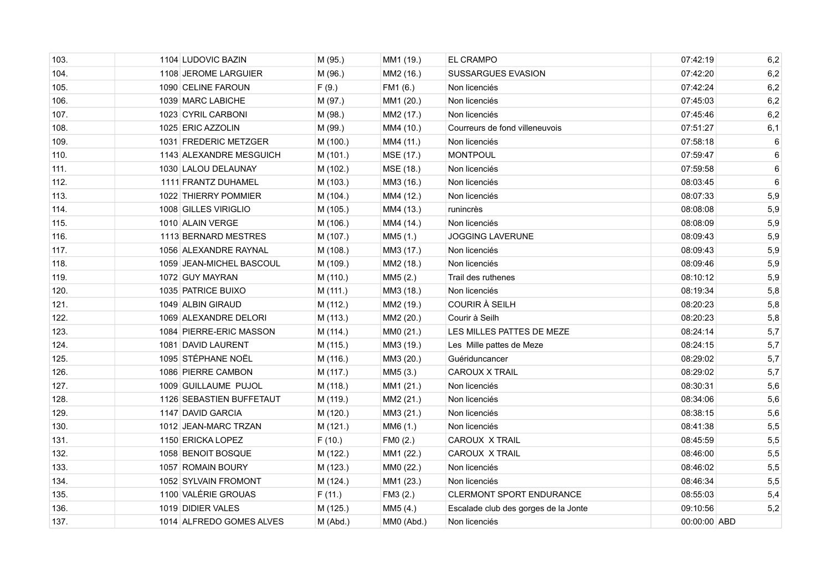| 103. | 1104 LUDOVIC BAZIN       | M (95.)  | MM1 (19.)  | <b>EL CRAMPO</b>                     | 07:42:19     | 6,2   |
|------|--------------------------|----------|------------|--------------------------------------|--------------|-------|
| 104. | 1108 JEROME LARGUIER     | M (96.)  | MM2 (16.)  | <b>SUSSARGUES EVASION</b>            | 07:42:20     | 6,2   |
| 105. | 1090 CELINE FAROUN       | F(9.)    | FM1 (6.)   | Non licenciés                        | 07:42:24     | 6,2   |
| 106. | 1039 MARC LABICHE        | M (97.)  | MM1 (20.)  | Non licenciés                        | 07:45:03     | $6,2$ |
| 107. | 1023 CYRIL CARBONI       | M (98.)  | MM2 (17.)  | Non licenciés                        | 07:45:46     | 6,2   |
| 108. | 1025 ERIC AZZOLIN        | M (99.)  | MM4 (10.)  | Courreurs de fond villeneuvois       | 07:51:27     | 6,1   |
| 109. | 1031 FREDERIC METZGER    | M (100.) | MM4 (11.)  | Non licenciés                        | 07:58:18     | 6     |
| 110. | 1143 ALEXANDRE MESGUICH  | M (101.) | MSE (17.)  | <b>MONTPOUL</b>                      | 07:59:47     | 6     |
| 111. | 1030 LALOU DELAUNAY      | M (102.) | MSE (18.)  | Non licenciés                        | 07:59:58     | 6     |
| 112. | 1111 FRANTZ DUHAMEL      | M (103.) | MM3 (16.)  | Non licenciés                        | 08:03:45     | 6     |
| 113. | 1022 THIERRY POMMIER     | M (104.) | MM4 (12.)  | Non licenciés                        | 08:07:33     | 5,9   |
| 114. | 1008 GILLES VIRIGLIO     | M (105.) | MM4 (13.)  | runincrès                            | 08:08:08     | 5,9   |
| 115. | 1010 ALAIN VERGE         | M (106.) | MM4 (14.)  | Non licenciés                        | 08:08:09     | 5,9   |
| 116. | 1113 BERNARD MESTRES     | M (107.) | MM5 (1.)   | <b>JOGGING LAVERUNE</b>              | 08:09:43     | 5,9   |
| 117. | 1056 ALEXANDRE RAYNAL    | M (108.) | MM3 (17.)  | Non licenciés                        | 08:09:43     | 5,9   |
| 118. | 1059 JEAN-MICHEL BASCOUL | M (109.) | MM2 (18.)  | Non licenciés                        | 08:09:46     | 5,9   |
| 119. | 1072 GUY MAYRAN          | M (110.) | MM5 (2.)   | Trail des ruthenes                   | 08:10:12     | 5,9   |
| 120. | 1035 PATRICE BUIXO       | M (111.) | MM3 (18.)  | Non licenciés                        | 08:19:34     | 5,8   |
| 121. | 1049 ALBIN GIRAUD        | M (112.) | MM2 (19.)  | <b>COURIR À SEILH</b>                | 08:20:23     | 5,8   |
| 122. | 1069 ALEXANDRE DELORI    | M (113.) | MM2 (20.)  | Courir à Seilh                       | 08:20:23     | 5,8   |
| 123. | 1084 PIERRE-ERIC MASSON  | M (114.) | MM0 (21.)  | LES MILLES PATTES DE MEZE            | 08:24:14     | 5,7   |
| 124. | 1081 DAVID LAURENT       | M (115.) | MM3 (19.)  | Les Mille pattes de Meze             | 08:24:15     | 5,7   |
| 125. | 1095 STÉPHANE NOËL       | M (116.) | MM3 (20.)  | Guériduncancer                       | 08:29:02     | 5,7   |
| 126. | 1086 PIERRE CAMBON       | M (117.) | MM5 (3.)   | <b>CAROUX X TRAIL</b>                | 08:29:02     | 5,7   |
| 127. | 1009 GUILLAUME PUJOL     | M (118.) | MM1 (21.)  | Non licenciés                        | 08:30:31     | 5,6   |
| 128. | 1126 SEBASTIEN BUFFETAUT | M (119.) | MM2 (21.)  | Non licenciés                        | 08:34:06     | 5,6   |
| 129. | 1147 DAVID GARCIA        | M (120.) | MM3 (21.)  | Non licenciés                        | 08:38:15     | 5,6   |
| 130. | 1012 JEAN-MARC TRZAN     | M (121.) | MM6 (1.)   | Non licenciés                        | 08:41:38     | 5,5   |
| 131. | 1150 ERICKA LOPEZ        | F(10.)   | FM0 (2.)   | CAROUX X TRAIL                       | 08:45:59     | 5,5   |
| 132. | 1058 BENOIT BOSQUE       | M (122.) | MM1 (22.)  | <b>CAROUX X TRAIL</b>                | 08:46:00     | 5,5   |
| 133. | 1057 ROMAIN BOURY        | M (123.) | MM0 (22.)  | Non licenciés                        | 08:46:02     | 5,5   |
| 134. | 1052 SYLVAIN FROMONT     | M (124.) | MM1 (23.)  | Non licenciés                        | 08:46:34     | 5,5   |
| 135. | 1100 VALÉRIE GROUAS      | F(11.)   | FM3 (2.)   | <b>CLERMONT SPORT ENDURANCE</b>      | 08:55:03     | 5,4   |
| 136. | 1019 DIDIER VALES        | M (125.) | MM5 (4.)   | Escalade club des gorges de la Jonte | 09:10:56     | 5,2   |
| 137. | 1014 ALFREDO GOMES ALVES | M (Abd.) | MM0 (Abd.) | Non licenciés                        | 00:00:00 ABD |       |